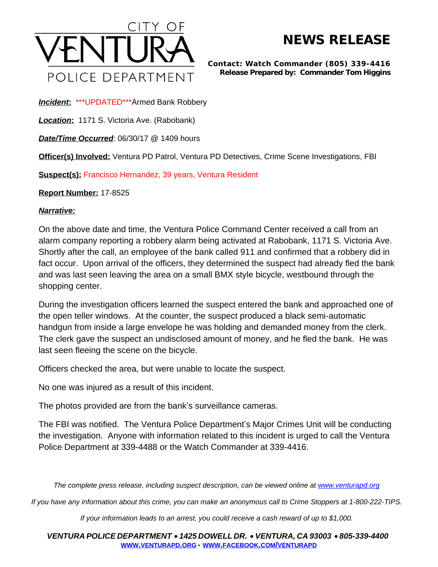

## **NEWS RELEASE**

*Contact: Watch Commander (805) 339-4416 Release Prepared by: Commander Tom Higgins*

*Incident***:** \*\*\*UPDATED\*\*\*Armed Bank Robbery

*Location***:** 1171 S. Victoria Ave. (Rabobank)

*Date/Time Occurred*: 06/30/17 @ 1409 hours

**Officer(s) Involved:** Ventura PD Patrol, Ventura PD Detectives, Crime Scene Investigations, FBI

**Suspect(s):** Francisco Hernandez, 39 years, Ventura Resident

**Report Number:** 17-8525

## *Narrative:*

On the above date and time, the Ventura Police Command Center received a call from an alarm company reporting a robbery alarm being activated at Rabobank, 1171 S. Victoria Ave. Shortly after the call, an employee of the bank called 911 and confirmed that a robbery did in fact occur. Upon arrival of the officers, they determined the suspect had already fled the bank and was last seen leaving the area on a small BMX style bicycle, westbound through the shopping center.

During the investigation officers learned the suspect entered the bank and approached one of the open teller windows. At the counter, the suspect produced a black semi-automatic handgun from inside a large envelope he was holding and demanded money from the clerk. The clerk gave the suspect an undisclosed amount of money, and he fled the bank. He was last seen fleeing the scene on the bicycle.

Officers checked the area, but were unable to locate the suspect.

No one was injured as a result of this incident.

The photos provided are from the bank's surveillance cameras.

The FBI was notified. The Ventura Police Department's Major Crimes Unit will be conducting the investigation. Anyone with information related to this incident is urged to call the Ventura Police Department at 339-4488 or the Watch Commander at 339-4416.

*The complete press release, including suspect description, can be viewed online at [www.venturapd.org](http://www.venturapd.org)* 

*If you have any information about this crime, you can make an anonymous call to Crime Stoppers at 1-800-222-TIPS.*

*If your information leads to an arrest, you could receive a cash reward of up to \$1,000.*

*VENTURA POLICE DEPARTMENT* · *1425 DOWELL DR.* · *VENTURA, CA 93003* · *805-339-4400* **WWW.[VENTURAPD](http://www.venturapd.org).ORG** *-* **WWW.FACEBOOK.COM/[VENTURAPD](http://www.facebook.com/venturapd)**